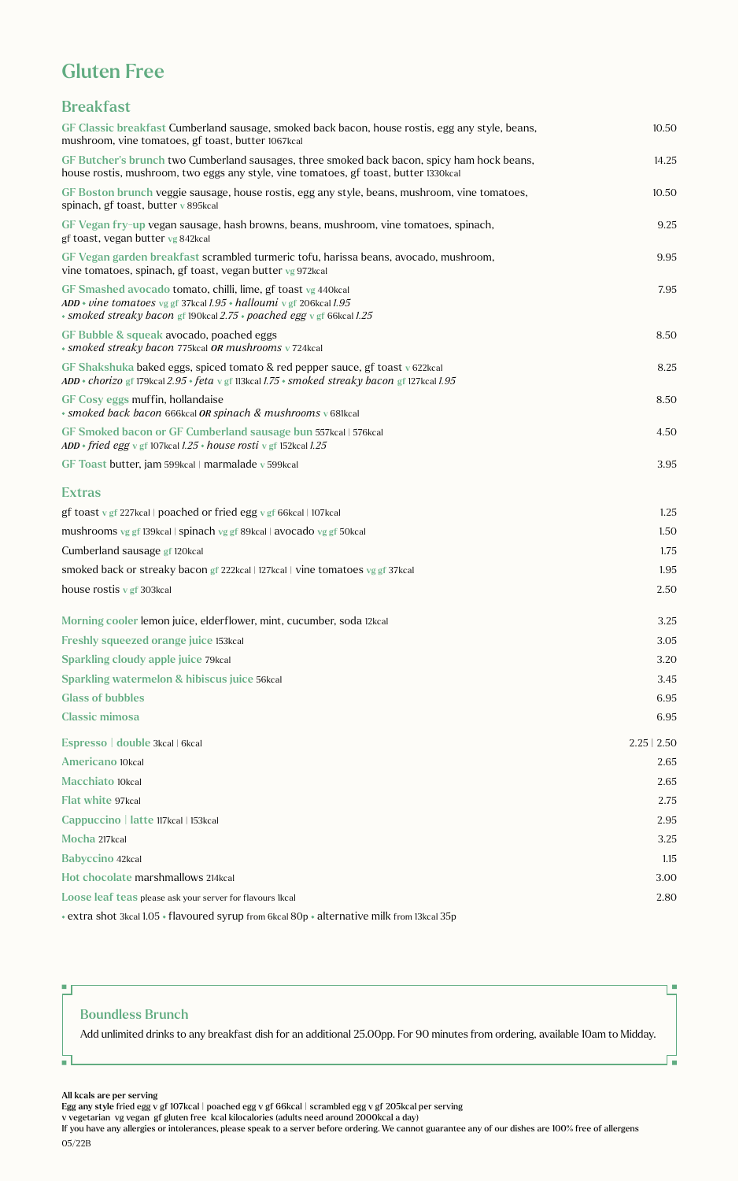# Gluten Free

## Breakfast

| GF Classic breakfast Cumberland sausage, smoked back bacon, house rostis, egg any style, beans,<br>mushroom, vine tomatoes, gf toast, butter 1067kcal                                                           | 10.50            |
|-----------------------------------------------------------------------------------------------------------------------------------------------------------------------------------------------------------------|------------------|
| GF Butcher's brunch two Cumberland sausages, three smoked back bacon, spicy ham hock beans,<br>house rostis, mushroom, two eggs any style, vine tomatoes, gf toast, butter 1330kcal                             | 14.25            |
| GF Boston brunch veggie sausage, house rostis, egg any style, beans, mushroom, vine tomatoes,<br>spinach, gf toast, butter v 895kcal                                                                            | 10.50            |
| GF Vegan fry-up vegan sausage, hash browns, beans, mushroom, vine tomatoes, spinach,<br>gf toast, vegan butter vg 842kcal                                                                                       | 9.25             |
| GF Vegan garden breakfast scrambled turmeric tofu, harissa beans, avocado, mushroom,<br>vine tomatoes, spinach, gf toast, vegan butter vg 972kcal                                                               | 9.95             |
| GF Smashed avocado tomato, chilli, lime, gf toast vg 440kcal<br>ADD • vine tomatoes vg gf 37kcal $1.95$ • halloumi v gf 206kcal $1.95$<br>· smoked streaky bacon gf 190kcal 2.75 · poached egg v gf 66kcal 1.25 | 7.95             |
| GF Bubble & squeak avocado, poached eggs<br>• smoked streaky bacon 775kcal OR mushrooms v 724kcal                                                                                                               | 8.50             |
| GF Shakshuka baked eggs, spiced tomato & red pepper sauce, gf toast $\sqrt{622}$ kcal<br>$ADD * chorizo$ gf 179kcal 2.95 $\cdot$ feta v gf 113kcal 1.75 $\cdot$ smoked streaky bacon gf 127kcal 1.95            | 8.25             |
| GF Cosy eggs muffin, hollandaise<br>· smoked back bacon 666kcal OR spinach & mushrooms v 681kcal                                                                                                                | 8.50             |
| GF Smoked bacon or GF Cumberland sausage bun 557kcal   576kcal<br>ADD • fried egg v gf 107kcal $1.25$ • house rosti v gf 152kcal $1.25$                                                                         | 4.50             |
| GF Toast butter, jam 599kcal   marmalade v 599kcal                                                                                                                                                              | 3.95             |
| <b>Extras</b>                                                                                                                                                                                                   |                  |
| gf toast v gf 227kcal   poached or fried egg v gf 66kcal   107kcal                                                                                                                                              | 1.25             |
| mushrooms vg gf 139kcal   spinach vg gf 89kcal   avocado vg gf 50kcal                                                                                                                                           | 1.50             |
| Cumberland sausage gf 120kcal                                                                                                                                                                                   | 1.75             |
| smoked back or streaky bacon gf 222kcal   127kcal   vine tomatoes vg gf 37kcal                                                                                                                                  | 1.95             |
| house rostis $v$ gf 303 kcal                                                                                                                                                                                    | 2.50             |
| Morning cooler lemon juice, elderflower, mint, cucumber, soda 12kcal                                                                                                                                            | 3.25             |
| Freshly squeezed orange juice 153kcal                                                                                                                                                                           | 3.05             |
| Sparkling cloudy apple juice 79kcal                                                                                                                                                                             | 3.20             |
| Sparkling watermelon & hibiscus juice 56kcal                                                                                                                                                                    | 3.45             |
| <b>Glass of bubbles</b>                                                                                                                                                                                         | 6.95             |
| <b>Classic mimosa</b>                                                                                                                                                                                           | 6.95             |
| Espresso   double 3kcal   6kcal                                                                                                                                                                                 | $2.25 \mid 2.50$ |
| Americano 10kcal                                                                                                                                                                                                | 2.65             |
| <b>Macchiato 10kcal</b>                                                                                                                                                                                         | 2.65             |
| Flat white 97kcal                                                                                                                                                                                               | 2.75             |
| Cappuccino   latte 117kcal   153kcal                                                                                                                                                                            | 2.95             |
| Mocha 217kcal                                                                                                                                                                                                   | 3.25             |
| <b>Babyccino 42kcal</b>                                                                                                                                                                                         | 1.15             |
| Hot chocolate marshmallows 214kcal                                                                                                                                                                              | 3.00             |
| Loose leaf teas please ask your server for flavours 1kcal                                                                                                                                                       | 2.80             |
| * extra shot 3kcal 1.05 * flavoured syrup from 6kcal 80p * alternative milk from 13kcal 35p                                                                                                                     |                  |

### Boundless Brunch

Add unlimited drinks to any breakfast dish for an additional 25.00pp. For 90 minutes from ordering, available 10am to Midday.

I.

ц,

#### All kcals are per serving

 $\blacksquare$ 

 $\blacksquare$ 

Egg any style fried egg v gf 107kcal | poached egg v gf 66kcal | scrambled egg v gf 205kcal per serving

v vegetarian vg vegan gf gluten free kcal kilocalories (adults need around 2000kcal a day)

If you have any allergies or intolerances, please speak to a server before ordering. We cannot guarantee any of our dishes are 100% free of allergens 05/22B